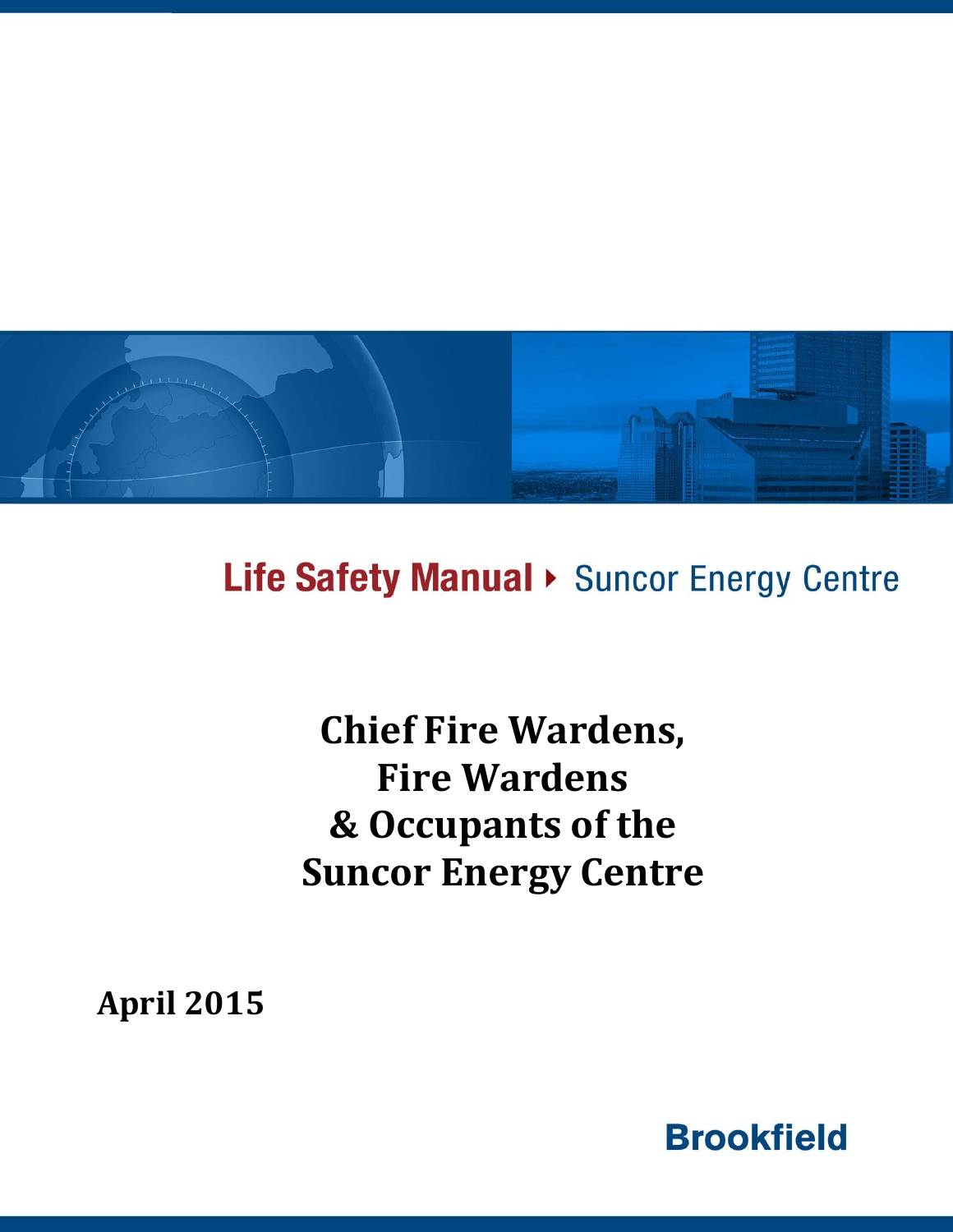

Life Safety Manual > Suncor Energy Centre

**Chief Fire Wardens, Fire Wardens & Occupants of the Suncor Energy Centre**

**April 2015**

**Brookfield**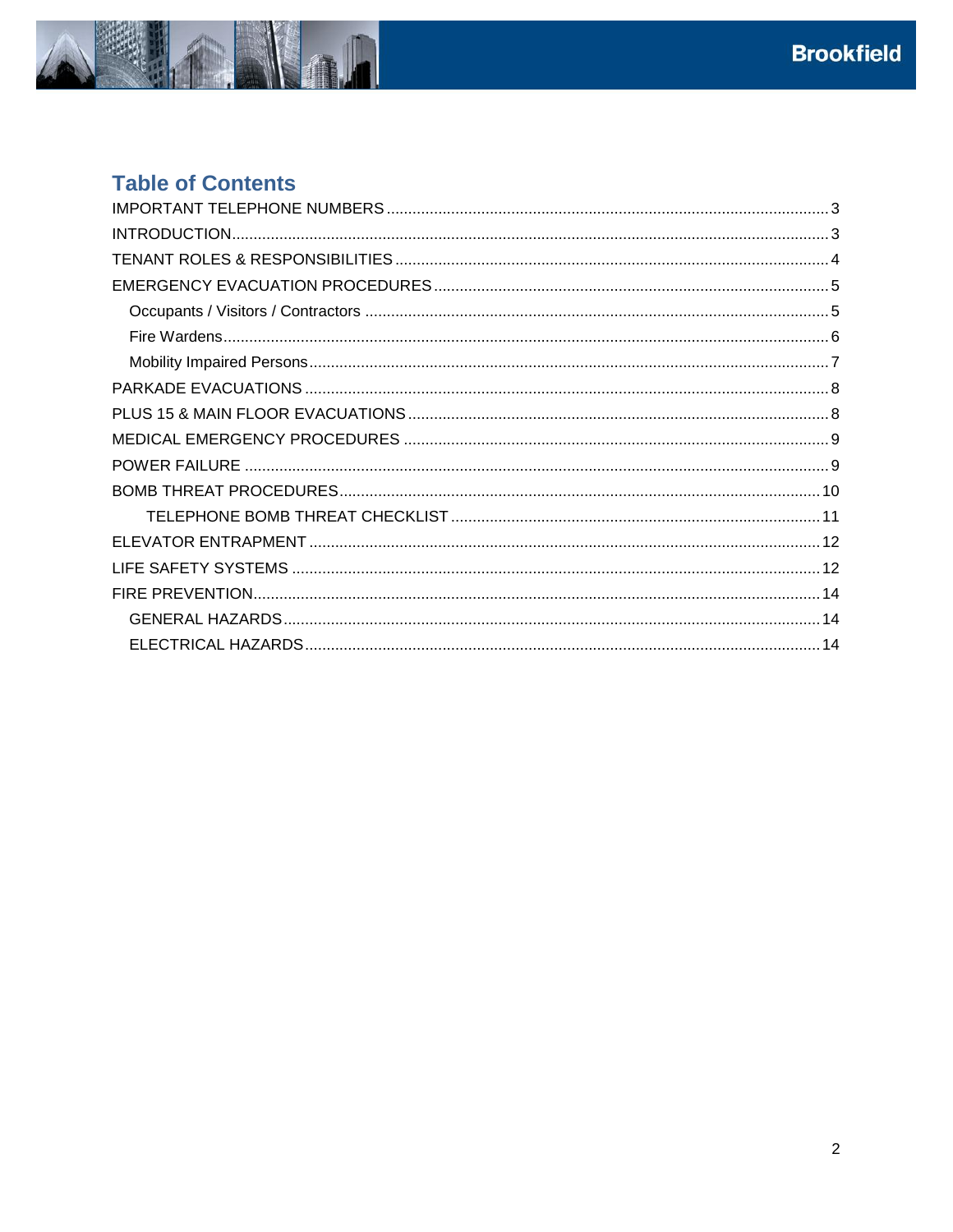

# **Table of Contents**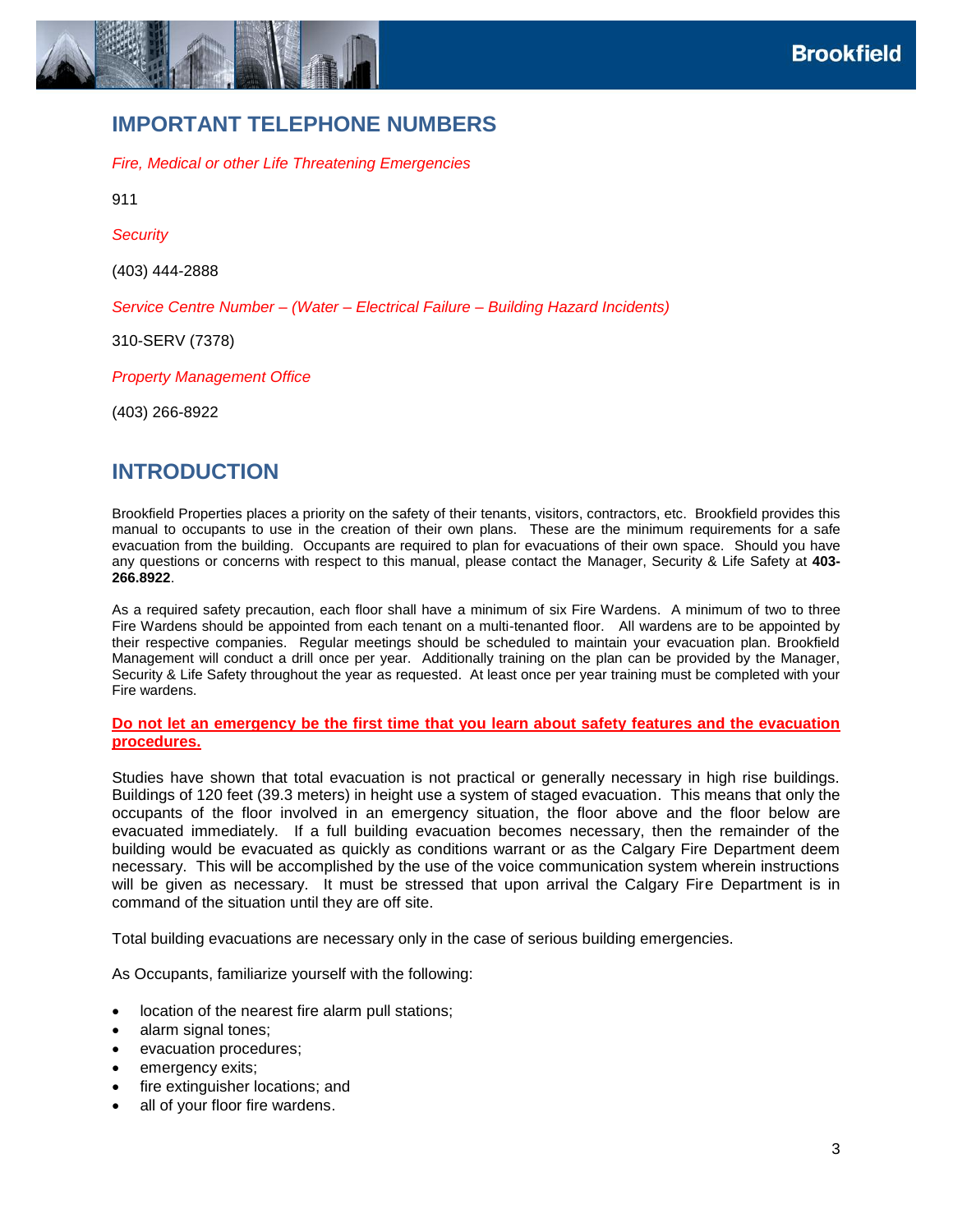

### <span id="page-2-0"></span>**IMPORTANT TELEPHONE NUMBERS**

*Fire, Medical or other Life Threatening Emergencies*

911

*Security*

(403) 444-2888

*Service Centre Number – (Water – Electrical Failure – Building Hazard Incidents)*

310-SERV (7378)

*Property Management Office*

<span id="page-2-1"></span>(403) 266-8922

### **INTRODUCTION**

Brookfield Properties places a priority on the safety of their tenants, visitors, contractors, etc. Brookfield provides this manual to occupants to use in the creation of their own plans. These are the minimum requirements for a safe evacuation from the building. Occupants are required to plan for evacuations of their own space. Should you have any questions or concerns with respect to this manual, please contact the Manager, Security & Life Safety at **403- 266.8922**.

As a required safety precaution, each floor shall have a minimum of six Fire Wardens. A minimum of two to three Fire Wardens should be appointed from each tenant on a multi-tenanted floor. All wardens are to be appointed by their respective companies. Regular meetings should be scheduled to maintain your evacuation plan. Brookfield Management will conduct a drill once per year. Additionally training on the plan can be provided by the Manager, Security & Life Safety throughout the year as requested. At least once per year training must be completed with your Fire wardens.

#### **Do not let an emergency be the first time that you learn about safety features and the evacuation procedures.**

Studies have shown that total evacuation is not practical or generally necessary in high rise buildings. Buildings of 120 feet (39.3 meters) in height use a system of staged evacuation. This means that only the occupants of the floor involved in an emergency situation, the floor above and the floor below are evacuated immediately. If a full building evacuation becomes necessary, then the remainder of the building would be evacuated as quickly as conditions warrant or as the Calgary Fire Department deem necessary. This will be accomplished by the use of the voice communication system wherein instructions will be given as necessary. It must be stressed that upon arrival the Calgary Fire Department is in command of the situation until they are off site.

Total building evacuations are necessary only in the case of serious building emergencies.

As Occupants, familiarize yourself with the following:

- location of the nearest fire alarm pull stations;
- alarm signal tones;
- evacuation procedures;
- emergency exits;
- fire extinguisher locations; and
- all of your floor fire wardens.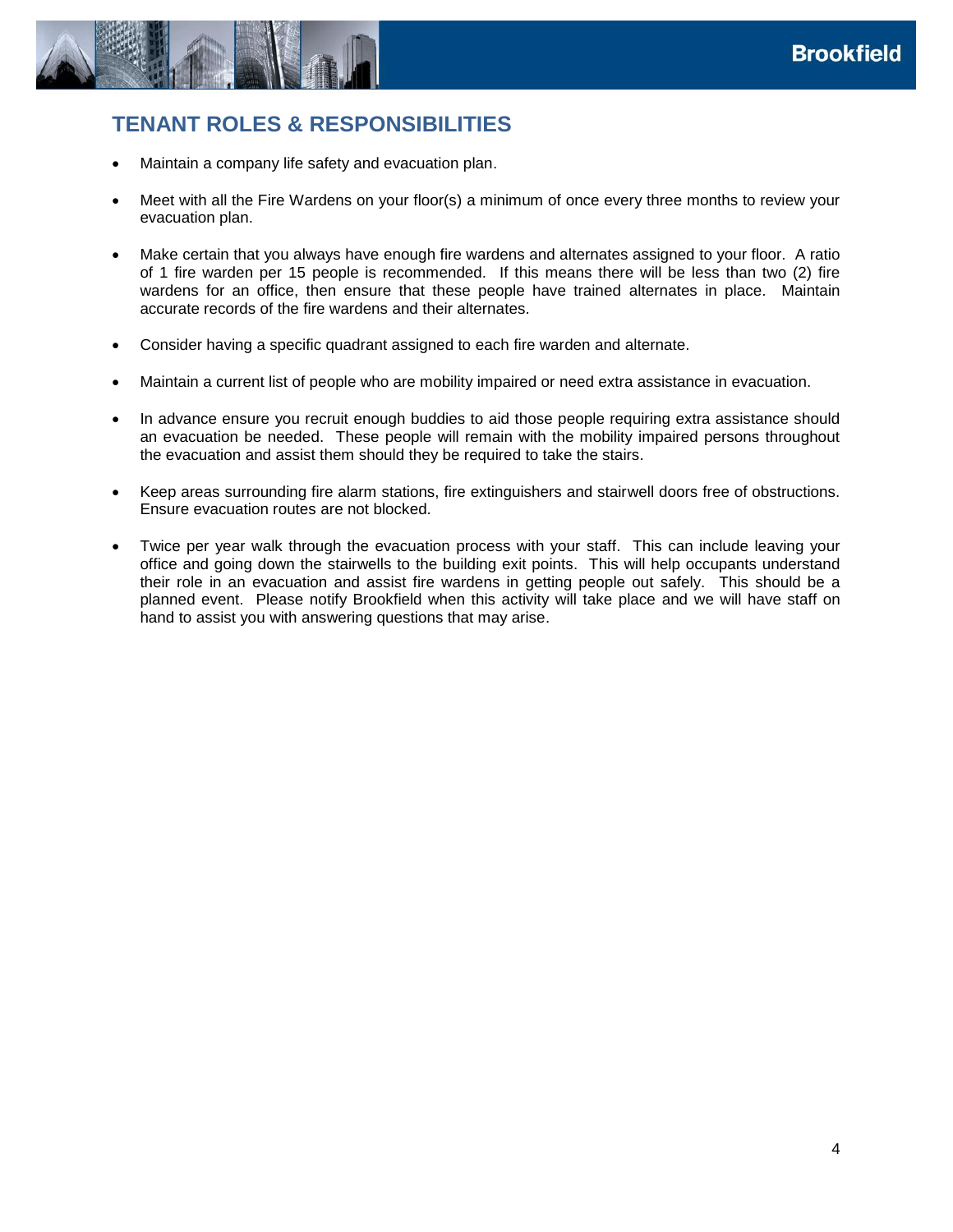

# <span id="page-3-0"></span>**TENANT ROLES & RESPONSIBILITIES**

- Maintain a company life safety and evacuation plan.
- Meet with all the Fire Wardens on your floor(s) a minimum of once every three months to review your evacuation plan.
- Make certain that you always have enough fire wardens and alternates assigned to your floor. A ratio of 1 fire warden per 15 people is recommended. If this means there will be less than two (2) fire wardens for an office, then ensure that these people have trained alternates in place. Maintain accurate records of the fire wardens and their alternates.
- Consider having a specific quadrant assigned to each fire warden and alternate.
- Maintain a current list of people who are mobility impaired or need extra assistance in evacuation.
- In advance ensure you recruit enough buddies to aid those people requiring extra assistance should an evacuation be needed. These people will remain with the mobility impaired persons throughout the evacuation and assist them should they be required to take the stairs.
- Keep areas surrounding fire alarm stations, fire extinguishers and stairwell doors free of obstructions. Ensure evacuation routes are not blocked.
- Twice per year walk through the evacuation process with your staff. This can include leaving your office and going down the stairwells to the building exit points. This will help occupants understand their role in an evacuation and assist fire wardens in getting people out safely. This should be a planned event. Please notify Brookfield when this activity will take place and we will have staff on hand to assist you with answering questions that may arise.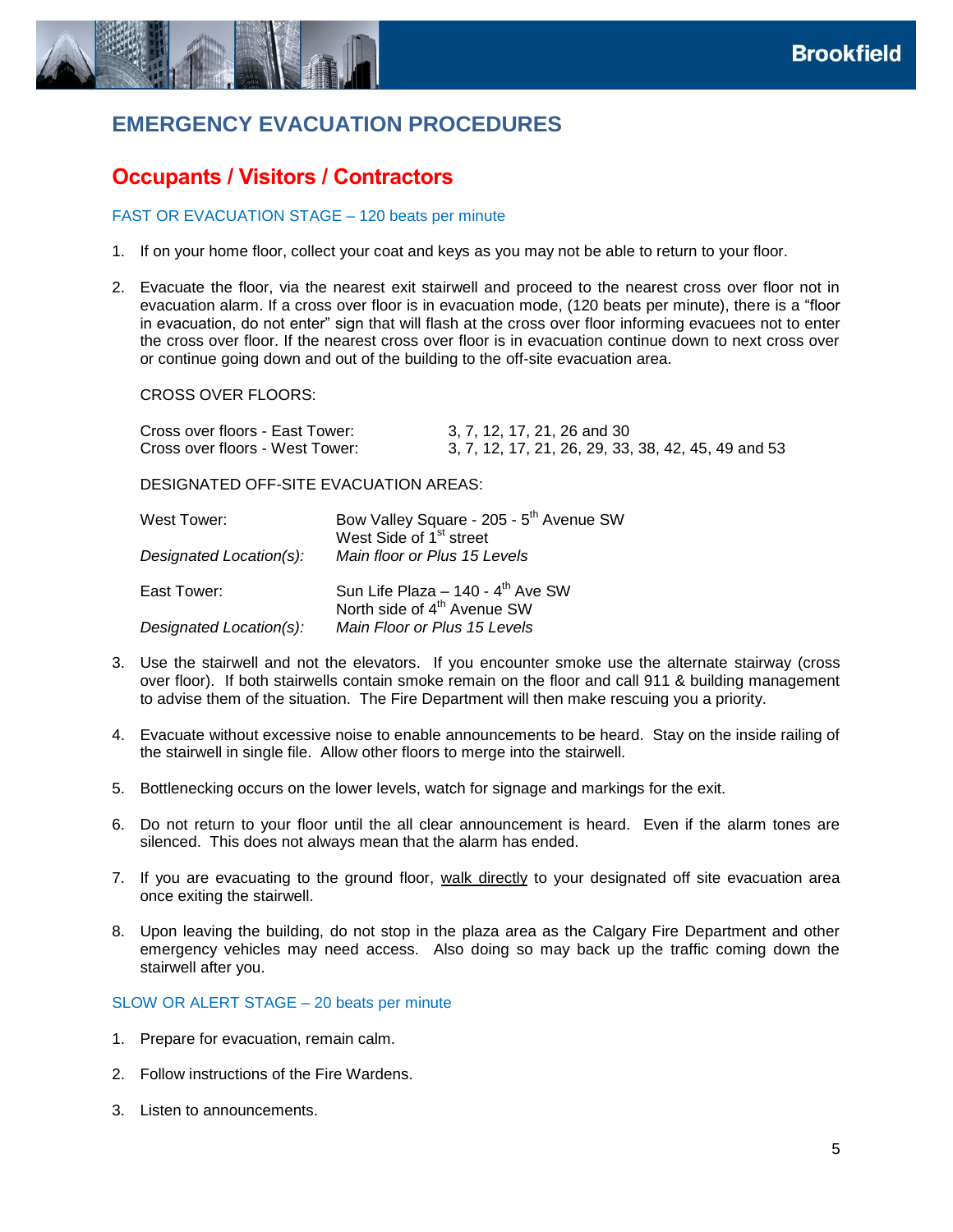

# <span id="page-4-0"></span>**EMERGENCY EVACUATION PROCEDURES**

# <span id="page-4-1"></span>**Occupants / Visitors / Contractors**

#### FAST OR EVACUATION STAGE – 120 beats per minute

- 1. If on your home floor, collect your coat and keys as you may not be able to return to your floor.
- 2. Evacuate the floor, via the nearest exit stairwell and proceed to the nearest cross over floor not in evacuation alarm. If a cross over floor is in evacuation mode, (120 beats per minute), there is a "floor in evacuation, do not enter" sign that will flash at the cross over floor informing evacuees not to enter the cross over floor. If the nearest cross over floor is in evacuation continue down to next cross over or continue going down and out of the building to the off-site evacuation area.

CROSS OVER FLOORS:

| Cross over floors - East Tower: | 3, 7, 12, 17, 21, 26 and 30                         |
|---------------------------------|-----------------------------------------------------|
| Cross over floors - West Tower: | 3, 7, 12, 17, 21, 26, 29, 33, 38, 42, 45, 49 and 53 |

DESIGNATED OFF-SITE EVACUATION AREAS:

| West Tower:             | Bow Valley Square - 205 - 5 <sup>th</sup> Avenue SW<br>West Side of 1 <sup>st</sup> street |
|-------------------------|--------------------------------------------------------------------------------------------|
| Designated Location(s): | Main floor or Plus 15 Levels                                                               |
| East Tower:             | Sun Life Plaza - 140 - 4 <sup>th</sup> Ave SW<br>North side of 4 <sup>th</sup> Avenue SW   |
| Designated Location(s): | Main Floor or Plus 15 Levels                                                               |

- 3. Use the stairwell and not the elevators. If you encounter smoke use the alternate stairway (cross over floor). If both stairwells contain smoke remain on the floor and call 911 & building management to advise them of the situation. The Fire Department will then make rescuing you a priority.
- 4. Evacuate without excessive noise to enable announcements to be heard. Stay on the inside railing of the stairwell in single file. Allow other floors to merge into the stairwell.
- 5. Bottlenecking occurs on the lower levels, watch for signage and markings for the exit.
- 6. Do not return to your floor until the all clear announcement is heard. Even if the alarm tones are silenced. This does not always mean that the alarm has ended.
- 7. If you are evacuating to the ground floor, walk directly to your designated off site evacuation area once exiting the stairwell.
- 8. Upon leaving the building, do not stop in the plaza area as the Calgary Fire Department and other emergency vehicles may need access. Also doing so may back up the traffic coming down the stairwell after you.

#### SLOW OR ALERT STAGE – 20 beats per minute

- 1. Prepare for evacuation, remain calm.
- 2. Follow instructions of the Fire Wardens.
- 3. Listen to announcements.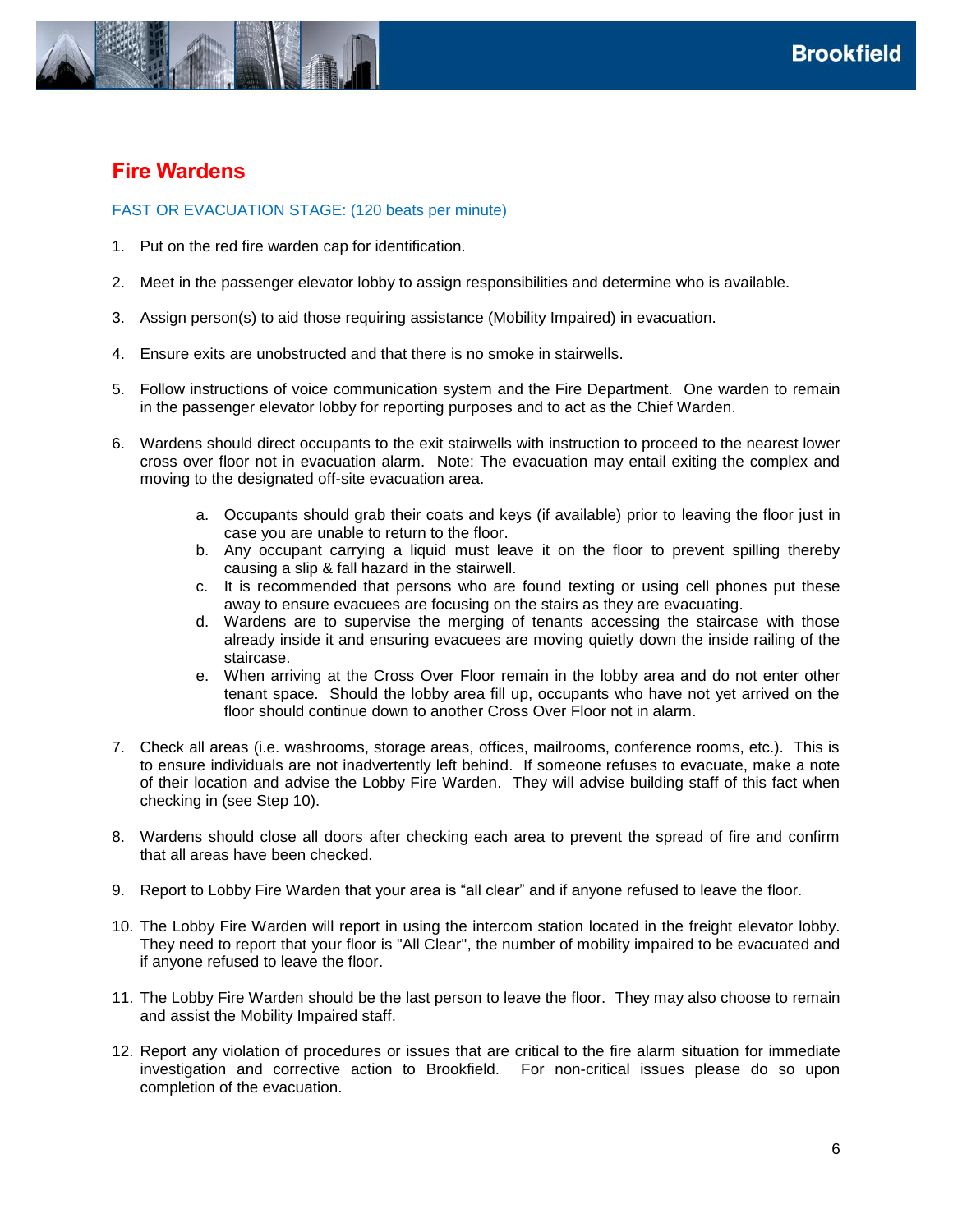

### <span id="page-5-0"></span>**Fire Wardens**

### FAST OR EVACUATION STAGE: (120 beats per minute)

- 1. Put on the red fire warden cap for identification.
- 2. Meet in the passenger elevator lobby to assign responsibilities and determine who is available.
- 3. Assign person(s) to aid those requiring assistance (Mobility Impaired) in evacuation.
- 4. Ensure exits are unobstructed and that there is no smoke in stairwells.
- 5. Follow instructions of voice communication system and the Fire Department. One warden to remain in the passenger elevator lobby for reporting purposes and to act as the Chief Warden.
- 6. Wardens should direct occupants to the exit stairwells with instruction to proceed to the nearest lower cross over floor not in evacuation alarm. Note: The evacuation may entail exiting the complex and moving to the designated off-site evacuation area.
	- a. Occupants should grab their coats and keys (if available) prior to leaving the floor just in case you are unable to return to the floor.
	- b. Any occupant carrying a liquid must leave it on the floor to prevent spilling thereby causing a slip & fall hazard in the stairwell.
	- c. It is recommended that persons who are found texting or using cell phones put these away to ensure evacuees are focusing on the stairs as they are evacuating.
	- d. Wardens are to supervise the merging of tenants accessing the staircase with those already inside it and ensuring evacuees are moving quietly down the inside railing of the staircase.
	- e. When arriving at the Cross Over Floor remain in the lobby area and do not enter other tenant space. Should the lobby area fill up, occupants who have not yet arrived on the floor should continue down to another Cross Over Floor not in alarm.
- 7. Check all areas (i.e. washrooms, storage areas, offices, mailrooms, conference rooms, etc.). This is to ensure individuals are not inadvertently left behind. If someone refuses to evacuate, make a note of their location and advise the Lobby Fire Warden. They will advise building staff of this fact when checking in (see Step 10).
- 8. Wardens should close all doors after checking each area to prevent the spread of fire and confirm that all areas have been checked.
- 9. Report to Lobby Fire Warden that your area is "all clear" and if anyone refused to leave the floor.
- 10. The Lobby Fire Warden will report in using the intercom station located in the freight elevator lobby. They need to report that your floor is "All Clear", the number of mobility impaired to be evacuated and if anyone refused to leave the floor.
- 11. The Lobby Fire Warden should be the last person to leave the floor. They may also choose to remain and assist the Mobility Impaired staff.
- 12. Report any violation of procedures or issues that are critical to the fire alarm situation for immediate investigation and corrective action to Brookfield. For non-critical issues please do so upon completion of the evacuation.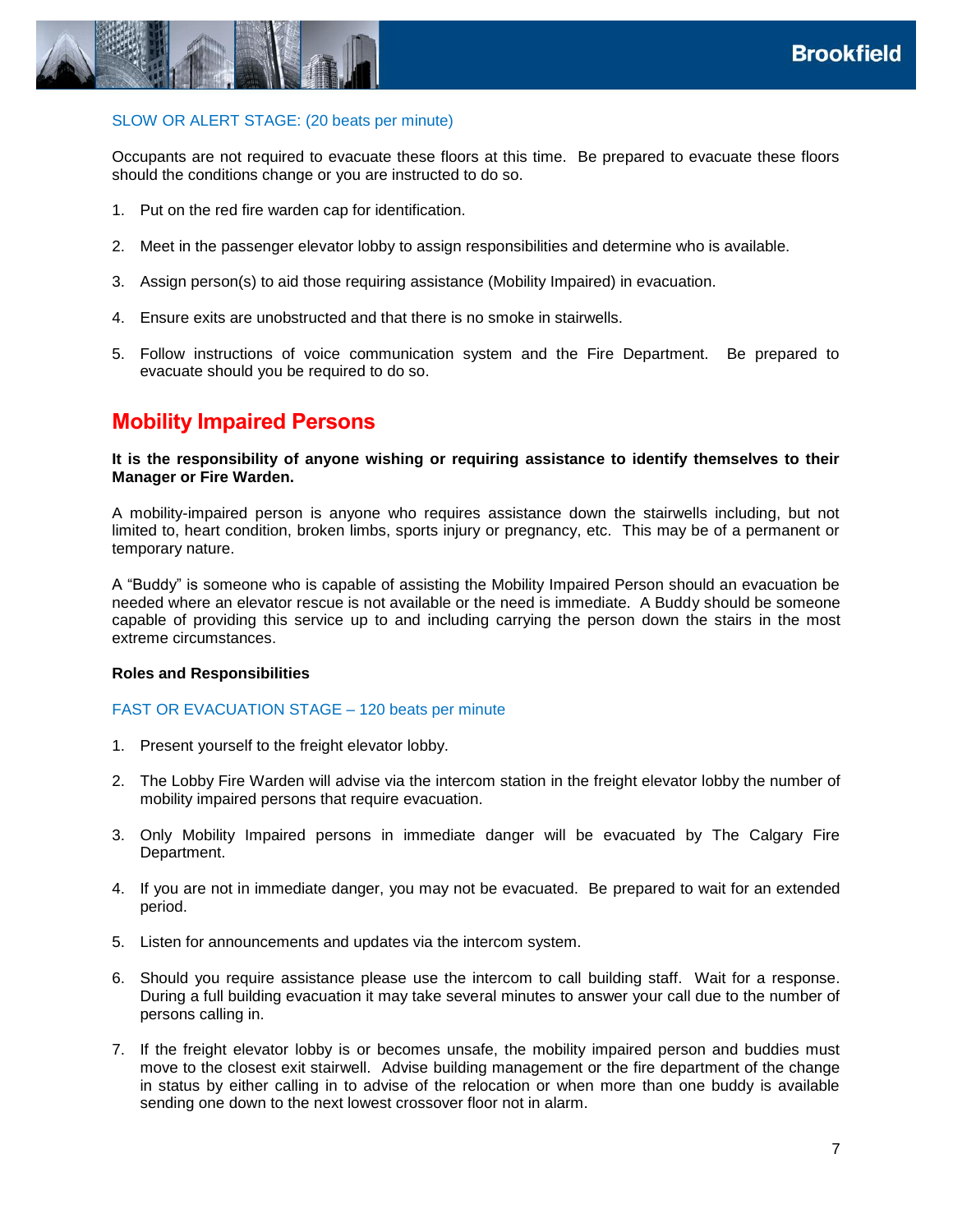

#### SLOW OR ALERT STAGE: (20 beats per minute)

Occupants are not required to evacuate these floors at this time. Be prepared to evacuate these floors should the conditions change or you are instructed to do so.

- 1. Put on the red fire warden cap for identification.
- 2. Meet in the passenger elevator lobby to assign responsibilities and determine who is available.
- 3. Assign person(s) to aid those requiring assistance (Mobility Impaired) in evacuation.
- 4. Ensure exits are unobstructed and that there is no smoke in stairwells.
- 5. Follow instructions of voice communication system and the Fire Department. Be prepared to evacuate should you be required to do so.

### <span id="page-6-0"></span>**Mobility Impaired Persons**

**It is the responsibility of anyone wishing or requiring assistance to identify themselves to their Manager or Fire Warden.** 

A mobility-impaired person is anyone who requires assistance down the stairwells including, but not limited to, heart condition, broken limbs, sports injury or pregnancy, etc. This may be of a permanent or temporary nature.

A "Buddy" is someone who is capable of assisting the Mobility Impaired Person should an evacuation be needed where an elevator rescue is not available or the need is immediate. A Buddy should be someone capable of providing this service up to and including carrying the person down the stairs in the most extreme circumstances.

#### **Roles and Responsibilities**

#### FAST OR EVACUATION STAGE – 120 beats per minute

- 1. Present yourself to the freight elevator lobby.
- 2. The Lobby Fire Warden will advise via the intercom station in the freight elevator lobby the number of mobility impaired persons that require evacuation.
- 3. Only Mobility Impaired persons in immediate danger will be evacuated by The Calgary Fire Department.
- 4. If you are not in immediate danger, you may not be evacuated. Be prepared to wait for an extended period.
- 5. Listen for announcements and updates via the intercom system.
- 6. Should you require assistance please use the intercom to call building staff. Wait for a response. During a full building evacuation it may take several minutes to answer your call due to the number of persons calling in.
- 7. If the freight elevator lobby is or becomes unsafe, the mobility impaired person and buddies must move to the closest exit stairwell. Advise building management or the fire department of the change in status by either calling in to advise of the relocation or when more than one buddy is available sending one down to the next lowest crossover floor not in alarm.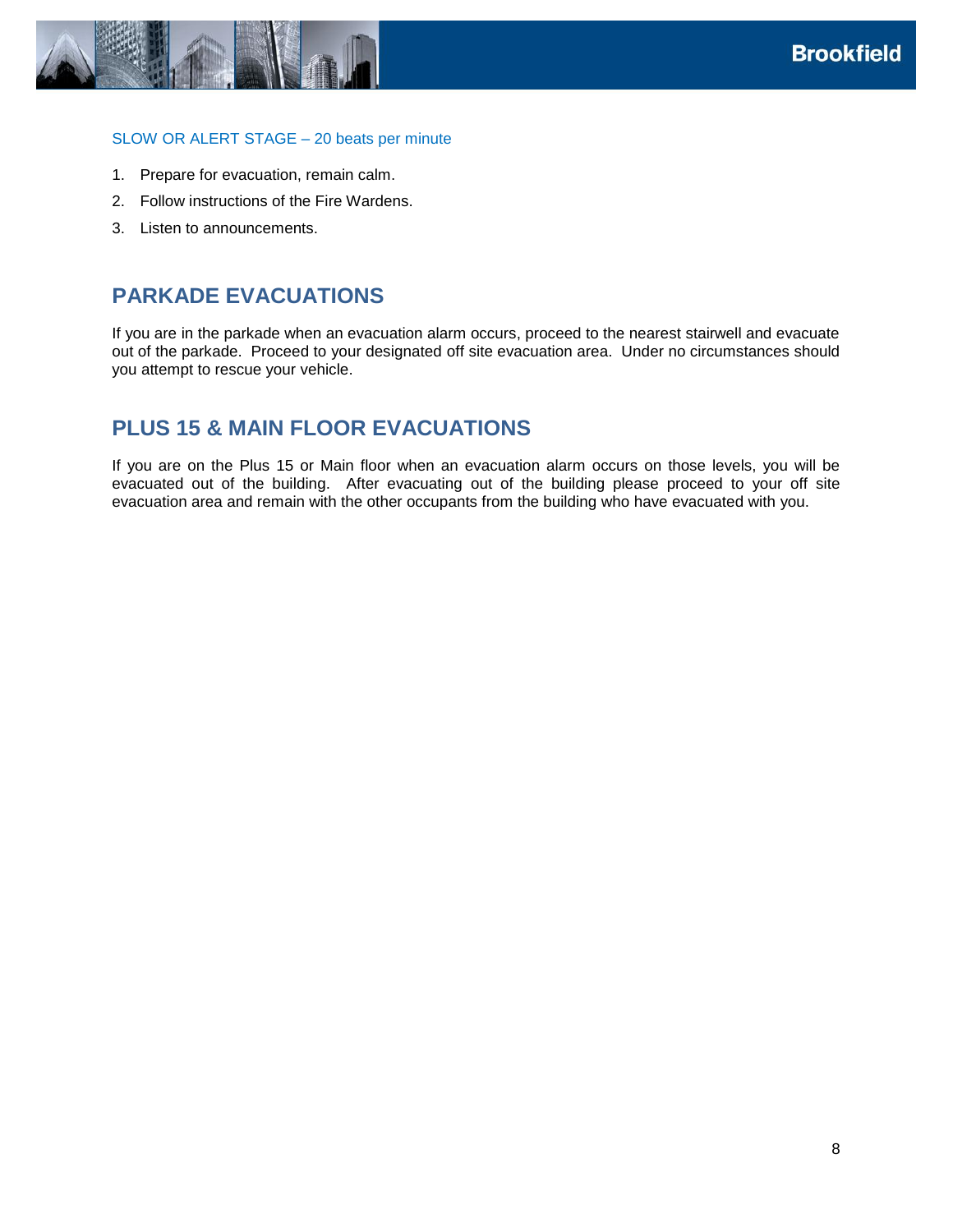

#### SLOW OR ALERT STAGE – 20 beats per minute

- 1. Prepare for evacuation, remain calm.
- 2. Follow instructions of the Fire Wardens.
- <span id="page-7-0"></span>3. Listen to announcements.

### **PARKADE EVACUATIONS**

If you are in the parkade when an evacuation alarm occurs, proceed to the nearest stairwell and evacuate out of the parkade. Proceed to your designated off site evacuation area. Under no circumstances should you attempt to rescue your vehicle.

## <span id="page-7-1"></span>**PLUS 15 & MAIN FLOOR EVACUATIONS**

If you are on the Plus 15 or Main floor when an evacuation alarm occurs on those levels, you will be evacuated out of the building. After evacuating out of the building please proceed to your off site evacuation area and remain with the other occupants from the building who have evacuated with you.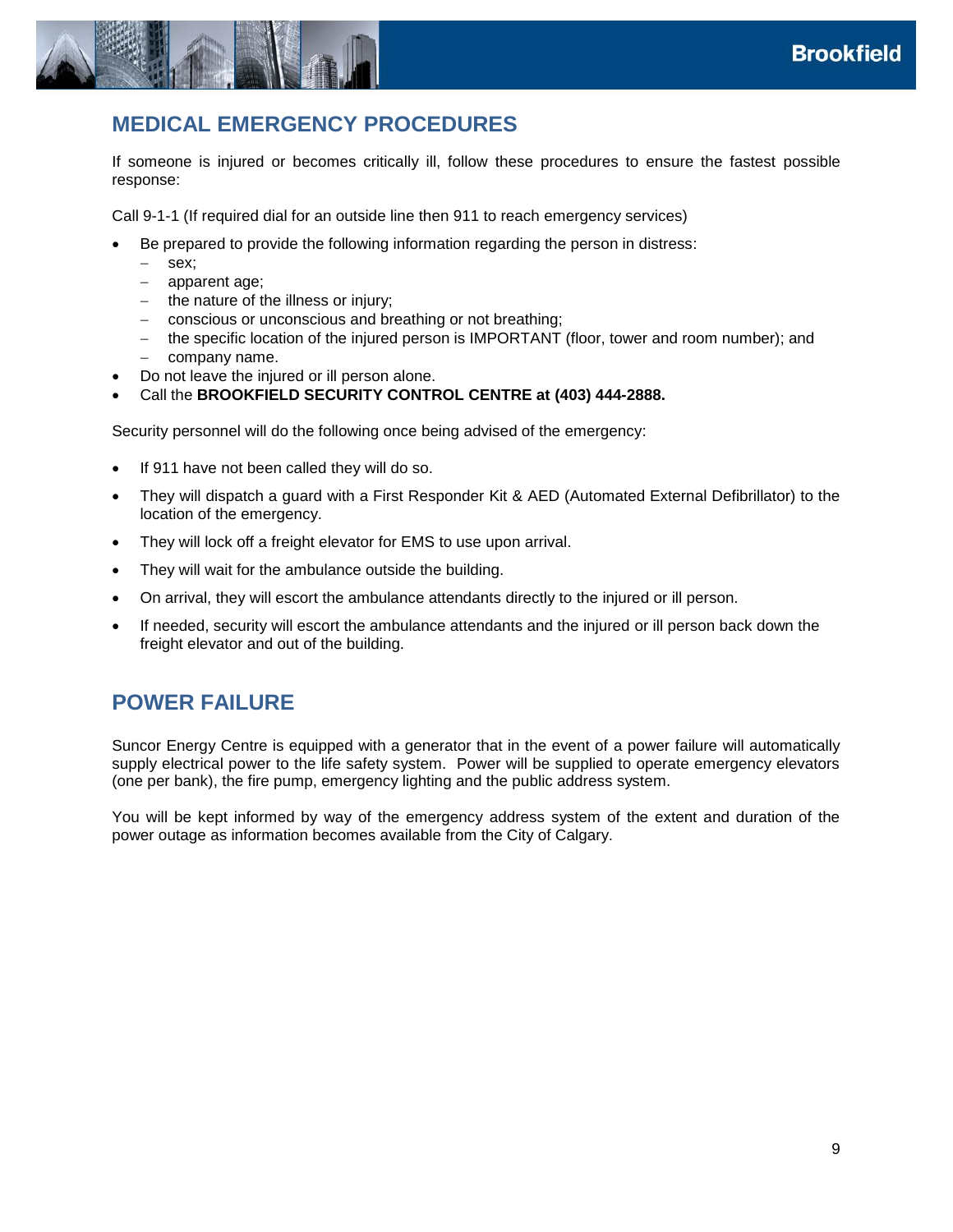

# <span id="page-8-0"></span>**MEDICAL EMERGENCY PROCEDURES**

If someone is injured or becomes critically ill, follow these procedures to ensure the fastest possible response:

Call 9-1-1 (If required dial for an outside line then 911 to reach emergency services)

- Be prepared to provide the following information regarding the person in distress:
	- sex;
	- apparent age;
	- $-$  the nature of the illness or injury;
	- conscious or unconscious and breathing or not breathing;
	- the specific location of the injured person is IMPORTANT (floor, tower and room number); and
	- company name.
- Do not leave the injured or ill person alone.
- Call the **BROOKFIELD SECURITY CONTROL CENTRE at (403) 444-2888.**

Security personnel will do the following once being advised of the emergency:

- If 911 have not been called they will do so.
- They will dispatch a guard with a First Responder Kit & AED (Automated External Defibrillator) to the location of the emergency.
- They will lock off a freight elevator for EMS to use upon arrival.
- They will wait for the ambulance outside the building.
- On arrival, they will escort the ambulance attendants directly to the injured or ill person.
- <span id="page-8-1"></span> If needed, security will escort the ambulance attendants and the injured or ill person back down the freight elevator and out of the building.

## **POWER FAILURE**

Suncor Energy Centre is equipped with a generator that in the event of a power failure will automatically supply electrical power to the life safety system. Power will be supplied to operate emergency elevators (one per bank), the fire pump, emergency lighting and the public address system.

You will be kept informed by way of the emergency address system of the extent and duration of the power outage as information becomes available from the City of Calgary.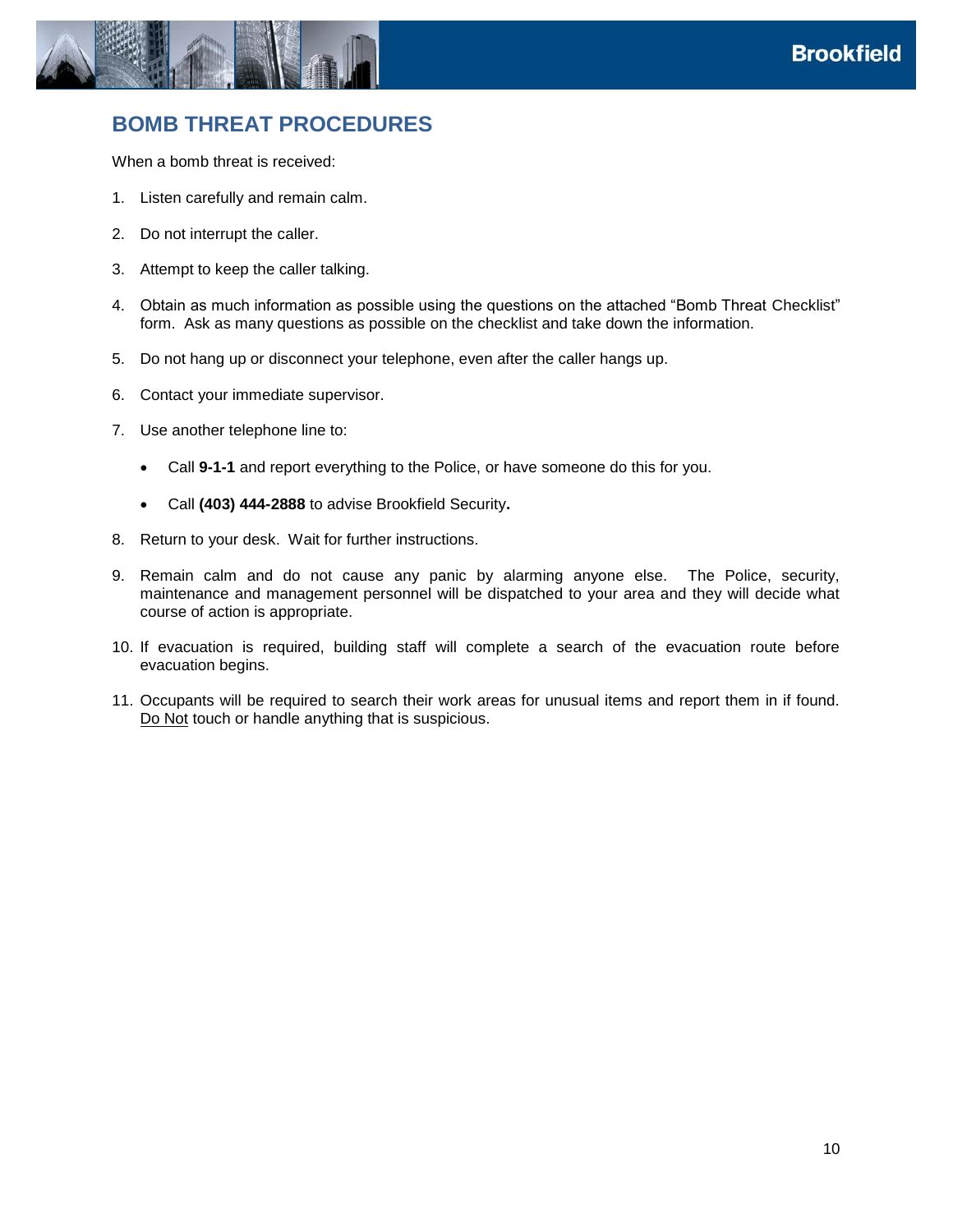

## <span id="page-9-0"></span>**BOMB THREAT PROCEDURES**

When a bomb threat is received:

- 1. Listen carefully and remain calm.
- 2. Do not interrupt the caller.
- 3. Attempt to keep the caller talking.
- 4. Obtain as much information as possible using the questions on the attached "Bomb Threat Checklist" form. Ask as many questions as possible on the checklist and take down the information.
- 5. Do not hang up or disconnect your telephone, even after the caller hangs up.
- 6. Contact your immediate supervisor.
- 7. Use another telephone line to:
	- Call **9-1-1** and report everything to the Police, or have someone do this for you.
	- Call **(403) 444-2888** to advise Brookfield Security**.**
- 8. Return to your desk. Wait for further instructions.
- 9. Remain calm and do not cause any panic by alarming anyone else. The Police, security, maintenance and management personnel will be dispatched to your area and they will decide what course of action is appropriate.
- 10. If evacuation is required, building staff will complete a search of the evacuation route before evacuation begins.
- 11. Occupants will be required to search their work areas for unusual items and report them in if found. Do Not touch or handle anything that is suspicious.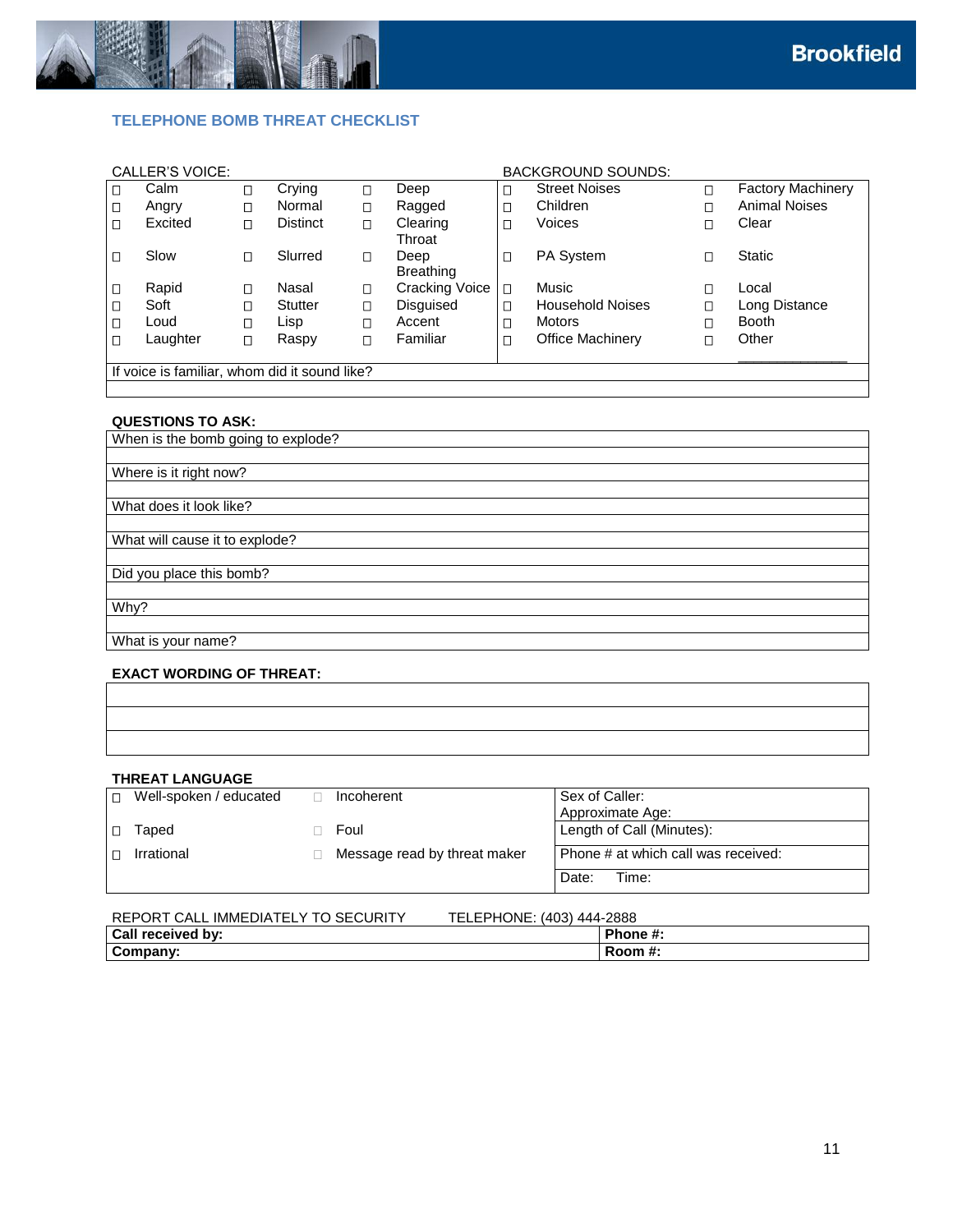

### <span id="page-10-0"></span>**TELEPHONE BOMB THREAT CHECKLIST**

|                                               | CALLER'S VOICE: |        |                 |        |                          |        | <b>BACKGROUND SOUNDS:</b> |        |                          |
|-----------------------------------------------|-----------------|--------|-----------------|--------|--------------------------|--------|---------------------------|--------|--------------------------|
| □                                             | Calm            | О      | Crying          | П      | Deep                     | ◻      | <b>Street Noises</b>      | $\Box$ | <b>Factory Machinery</b> |
| О                                             | Angry           | $\Box$ | Normal          | $\Box$ | Ragged                   | □      | Children                  | $\Box$ | <b>Animal Noises</b>     |
| Π                                             | Excited         | Π      | <b>Distinct</b> | П      | Clearing<br>Throat       | ◻      | Voices                    | Π      | Clear                    |
|                                               | Slow            | П      | Slurred         | $\Box$ | Deep<br><b>Breathing</b> | □      | PA System                 | П      | <b>Static</b>            |
| О                                             | Rapid           | П      | Nasal           | $\Box$ | <b>Cracking Voice</b>    | $\Box$ | Music                     | П      | Local                    |
| $\Box$                                        | Soft            | Π      | Stutter         | $\Box$ | <b>Disquised</b>         | Π      | <b>Household Noises</b>   | □      | Long Distance            |
| $\Box$                                        | Loud            | Ω      | Lisp            | $\Box$ | Accent                   | Ω      | <b>Motors</b>             | $\Box$ | <b>Booth</b>             |
| П                                             | Laughter        | Ω      | Raspy           | $\Box$ | Familiar                 | □      | <b>Office Machinery</b>   | О      | Other                    |
| If voice is familiar, whom did it sound like? |                 |        |                 |        |                          |        |                           |        |                          |
|                                               |                 |        |                 |        |                          |        |                           |        |                          |

#### **QUESTIONS TO ASK:**

| When is the bomb going to explode? |
|------------------------------------|
|                                    |
| Where is it right now?             |
|                                    |
| What does it look like?            |
|                                    |
| What will cause it to explode?     |
|                                    |
| Did you place this bomb?           |
|                                    |
| Why?                               |
|                                    |
| What is your name?                 |
|                                    |

### **EXACT WORDING OF THREAT:**

#### **THREAT LANGUAGE**

| П. | Well-spoken / educated | Incoherent                   | Sex of Caller:                      |
|----|------------------------|------------------------------|-------------------------------------|
|    |                        |                              | Approximate Age:                    |
|    | Taped                  | Foul                         | Length of Call (Minutes):           |
|    | Irrational             | Message read by threat maker | Phone # at which call was received: |
|    |                        |                              | Date:<br>Time:                      |

| REPORT CALL IMMEDIATELY TO SECURITY | TELEPHONE: (403) 444-2888 |
|-------------------------------------|---------------------------|
| Call received by:                   | Phone #:                  |
| Company:                            | Room #:                   |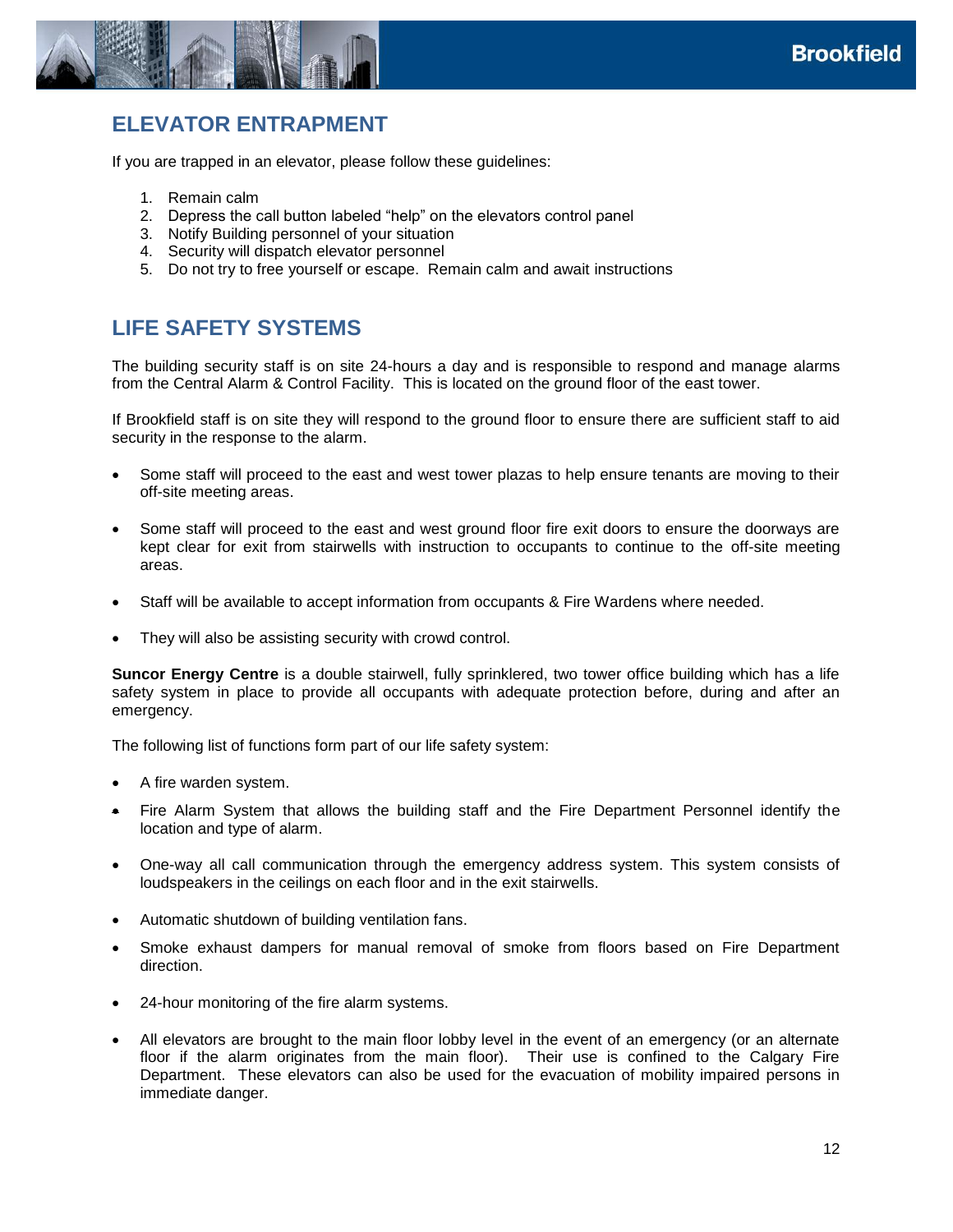

# <span id="page-11-0"></span>**ELEVATOR ENTRAPMENT**

If you are trapped in an elevator, please follow these guidelines:

- 1. Remain calm
- 2. Depress the call button labeled "help" on the elevators control panel
- 3. Notify Building personnel of your situation
- 4. Security will dispatch elevator personnel
- <span id="page-11-1"></span>5. Do not try to free yourself or escape. Remain calm and await instructions

# **LIFE SAFETY SYSTEMS**

The building security staff is on site 24-hours a day and is responsible to respond and manage alarms from the Central Alarm & Control Facility. This is located on the ground floor of the east tower.

If Brookfield staff is on site they will respond to the ground floor to ensure there are sufficient staff to aid security in the response to the alarm.

- Some staff will proceed to the east and west tower plazas to help ensure tenants are moving to their off-site meeting areas.
- Some staff will proceed to the east and west ground floor fire exit doors to ensure the doorways are kept clear for exit from stairwells with instruction to occupants to continue to the off-site meeting areas.
- Staff will be available to accept information from occupants & Fire Wardens where needed.
- They will also be assisting security with crowd control.

**Suncor Energy Centre** is a double stairwell, fully sprinklered, two tower office building which has a life safety system in place to provide all occupants with adequate protection before, during and after an emergency.

The following list of functions form part of our life safety system:

- A fire warden system.
- Fire Alarm System that allows the building staff and the Fire Department Personnel identify the location and type of alarm.
- One-way all call communication through the emergency address system. This system consists of loudspeakers in the ceilings on each floor and in the exit stairwells.
- Automatic shutdown of building ventilation fans.
- Smoke exhaust dampers for manual removal of smoke from floors based on Fire Department direction.
- 24-hour monitoring of the fire alarm systems.
- All elevators are brought to the main floor lobby level in the event of an emergency (or an alternate floor if the alarm originates from the main floor). Their use is confined to the Calgary Fire Department. These elevators can also be used for the evacuation of mobility impaired persons in immediate danger.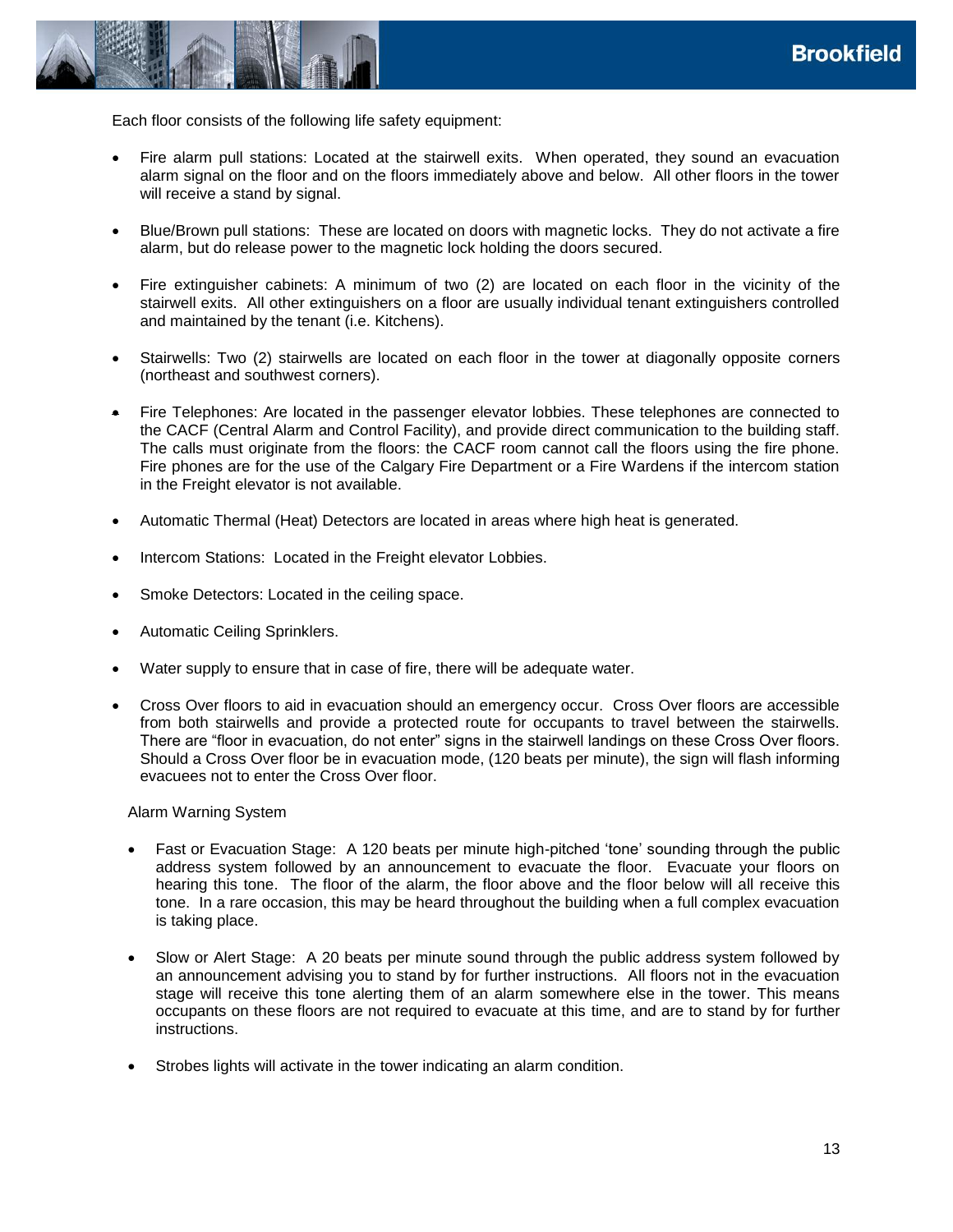

Each floor consists of the following life safety equipment:

- Fire alarm pull stations: Located at the stairwell exits. When operated, they sound an evacuation alarm signal on the floor and on the floors immediately above and below. All other floors in the tower will receive a stand by signal.
- Blue/Brown pull stations: These are located on doors with magnetic locks. They do not activate a fire alarm, but do release power to the magnetic lock holding the doors secured.
- Fire extinguisher cabinets: A minimum of two (2) are located on each floor in the vicinity of the stairwell exits. All other extinguishers on a floor are usually individual tenant extinguishers controlled and maintained by the tenant (i.e. Kitchens).
- Stairwells: Two (2) stairwells are located on each floor in the tower at diagonally opposite corners (northeast and southwest corners).
- Fire Telephones: Are located in the passenger elevator lobbies. These telephones are connected to the CACF (Central Alarm and Control Facility), and provide direct communication to the building staff. The calls must originate from the floors: the CACF room cannot call the floors using the fire phone. Fire phones are for the use of the Calgary Fire Department or a Fire Wardens if the intercom station in the Freight elevator is not available.
- Automatic Thermal (Heat) Detectors are located in areas where high heat is generated.
- Intercom Stations: Located in the Freight elevator Lobbies.
- Smoke Detectors: Located in the ceiling space.
- Automatic Ceiling Sprinklers.
- Water supply to ensure that in case of fire, there will be adequate water.
- Cross Over floors to aid in evacuation should an emergency occur. Cross Over floors are accessible from both stairwells and provide a protected route for occupants to travel between the stairwells. There are "floor in evacuation, do not enter" signs in the stairwell landings on these Cross Over floors. Should a Cross Over floor be in evacuation mode, (120 beats per minute), the sign will flash informing evacuees not to enter the Cross Over floor.

#### Alarm Warning System

- Fast or Evacuation Stage: A 120 beats per minute high-pitched 'tone' sounding through the public address system followed by an announcement to evacuate the floor. Evacuate your floors on hearing this tone. The floor of the alarm, the floor above and the floor below will all receive this tone. In a rare occasion, this may be heard throughout the building when a full complex evacuation is taking place.
- Slow or Alert Stage: A 20 beats per minute sound through the public address system followed by an announcement advising you to stand by for further instructions. All floors not in the evacuation stage will receive this tone alerting them of an alarm somewhere else in the tower. This means occupants on these floors are not required to evacuate at this time, and are to stand by for further instructions.
- Strobes lights will activate in the tower indicating an alarm condition.